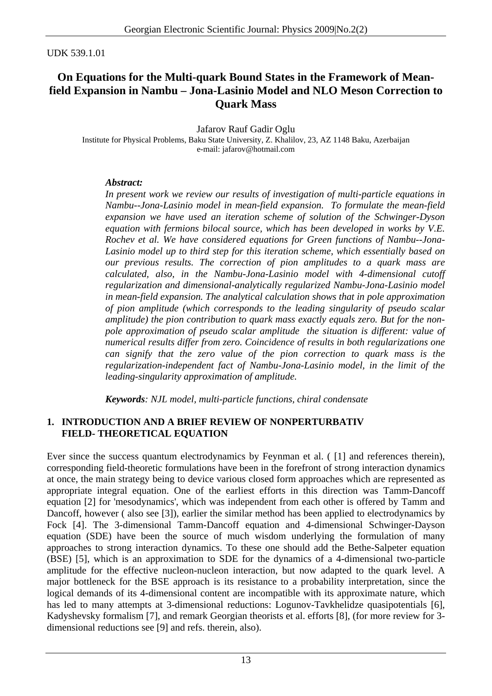#### UDK 539.1.01

# **On Equations for the Multi-quark Bound States in the Framework of Meanfield Expansion in Nambu – Jona-Lasinio Model and NLO Meson Correction to Quark Mass**

Jafarov Rauf Gadir Oglu Institute for Physical Problems, Baku State University, Z. Khalilov, 23, AZ 1148 Baku, Azerbaijan e-mail: jafarov@hotmail.com

### *Abstract:*

*In present work we review our results of investigation of multi-particle equations in Nambu--Jona-Lasinio model in mean-field expansion. To formulate the mean-field expansion we have used an iteration scheme of solution of the Schwinger-Dyson equation with fermions bilocal source, which has been developed in works by V.E. Rochev et al. We have considered equations for Green functions of Nambu--Jona-Lasinio model up to third step for this iteration scheme, which essentially based on our previous results. The correction of pion amplitudes to a quark mass are calculated, also, in the Nambu-Jona-Lasinio model with 4-dimensional cutoff regularization and dimensional-analytically regularized Nambu-Jona-Lasinio model in mean-field expansion. The analytical calculation shows that in pole approximation of pion amplitude (which corresponds to the leading singularity of pseudo scalar amplitude) the pion contribution to quark mass exactly equals zero. But for the nonpole approximation of pseudo scalar amplitude the situation is different: value of numerical results differ from zero. Coincidence of results in both regularizations one can signify that the zero value of the pion correction to quark mass is the regularization-independent fact of Nambu-Jona-Lasinio model, in the limit of the leading-singularity approximation of amplitude.* 

*Keywords: NJL model, multi-particle functions, chiral condensate* 

### **1. INTRODUCTION AND A BRIEF REVIEW OF NONPERTURBATIV FIELD- THEORETICAL EQUATION**

Ever since the success quantum electrodynamics by Feynman et al. ([1] and references therein), corresponding field-theoretic formulations have been in the forefront of strong interaction dynamics at once, the main strategy being to device various closed form approaches which are represented as appropriate integral equation. One of the earliest efforts in this direction was Tamm-Dancoff equation [2] for 'mesodynamics', which was independent from each other is offered by Tamm and Dancoff, however ( also see [3]), earlier the similar method has been applied to electrodynamics by Fock [4]. The 3-dimensional Tamm-Dancoff equation and 4-dimensional Schwinger-Dayson equation (SDE) have been the source of much wisdom underlying the formulation of many approaches to strong interaction dynamics. To these one should add the Bethe-Salpeter equation (BSE) [5], which is an approximation to SDE for the dynamics of a 4-dimensional two-particle amplitude for the effective nucleon-nucleon interaction, but now adapted to the quark level. A major bottleneck for the BSE approach is its resistance to a probability interpretation, since the logical demands of its 4-dimensional content are incompatible with its approximate nature, which has led to many attempts at 3-dimensional reductions: Logunov-Tavkhelidze quasipotentials [6], Kadyshevsky formalism [7], and remark Georgian theorists et al. efforts [8], (for more review for 3 dimensional reductions see [9] and refs. therein, also).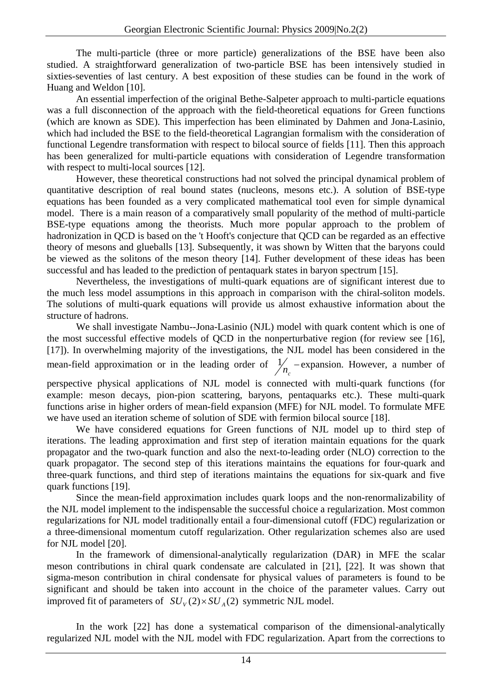The multi-particle (three or more particle) generalizations of the BSE have been also studied. A straightforward generalization of two-particle BSE has been intensively studied in sixties-seventies of last century. A best exposition of these studies can be found in the work of Huang and Weldon [10].

An essential imperfection of the original Bethe-Salpeter approach to multi-particle equations was a full disconnection of the approach with the field-theoretical equations for Green functions (which are known as SDE). This imperfection has been eliminated by Dahmen and Jona-Lasinio, which had included the BSE to the field-theoretical Lagrangian formalism with the consideration of functional Legendre transformation with respect to bilocal source of fields [11]. Then this approach has been generalized for multi-particle equations with consideration of Legendre transformation with respect to multi-local sources [12].

However, these theoretical constructions had not solved the principal dynamical problem of quantitative description of real bound states (nucleons, mesons etc.). A solution of BSE-type equations has been founded as a very complicated mathematical tool even for simple dynamical model. There is a main reason of a comparatively small popularity of the method of multi-particle BSE-type equations among the theorists. Much more popular approach to the problem of hadronization in QCD is based on the 't Hooft's conjecture that QCD can be regarded as an effective theory of mesons and glueballs [13]. Subsequently, it was shown by Witten that the baryons could be viewed as the solitons of the meson theory [14]. Futher development of these ideas has been successful and has leaded to the prediction of pentaquark states in baryon spectrum [15].

Nevertheless, the investigations of multi-quark equations are of significant interest due to the much less model assumptions in this approach in comparison with the chiral-soliton models. The solutions of multi-quark equations will provide us almost exhaustive information about the structure of hadrons.

We shall investigate Nambu--Jona-Lasinio (NJL) model with quark content which is one of the most successful effective models of QCD in the nonperturbative region (for review see [16], [17]). In overwhelming majority of the investigations, the NJL model has been considered in the mean-field approximation or in the leading order of  $\frac{1}{n_c}$  – expansion. However, a number of

perspective physical applications of NJL model is connected with multi-quark functions (for example: meson decays, pion-pion scattering, baryons, pentaquarks etc.). These multi-quark functions arise in higher orders of mean-field expansion (MFE) for NJL model. To formulate MFE we have used an iteration scheme of solution of SDE with fermion bilocal source [18].

We have considered equations for Green functions of NJL model up to third step of iterations. The leading approximation and first step of iteration maintain equations for the quark propagator and the two-quark function and also the next-to-leading order (NLO) correction to the quark propagator. The second step of this iterations maintains the equations for four-quark and three-quark functions, and third step of iterations maintains the equations for six-quark and five quark functions [19].

Since the mean-field approximation includes quark loops and the non-renormalizability of the NJL model implement to the indispensable the successful choice a regularization. Most common regularizations for NJL model traditionally entail a four-dimensional cutoff (FDC) regularization or a three-dimensional momentum cutoff regularization. Other regularization schemes also are used for NJL model [20].

In the framework of dimensional-analytically regularization (DAR) in MFE the scalar meson contributions in chiral quark condensate are calculated in [21], [22]. It was shown that sigma-meson contribution in chiral condensate for physical values of parameters is found to be significant and should be taken into account in the choice of the parameter values. Carry out improved fit of parameters of  $SU_v(2)\times SU_A(2)$  symmetric NJL model.

In the work [22] has done a systematical comparison of the dimensional-analytically regularized NJL model with the NJL model with FDC regularization. Apart from the corrections to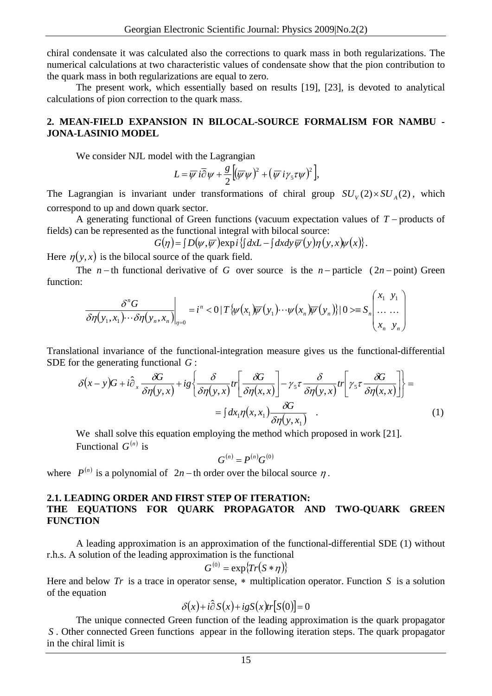chiral condensate it was calculated also the corrections to quark mass in both regularizations. The numerical calculations at two characteristic values of condensate show that the pion contribution to the quark mass in both regularizations are equal to zero.

The present work, which essentially based on results [19], [23], is devoted to analytical calculations of pion correction to the quark mass.

### **2. MEAN-FIELD EXPANSION IN BILOCAL-SOURCE FORMALISM FOR NAMBU - JONA-LASINIO MODEL**

We consider NJL model with the Lagrangian

$$
L = \overline{\psi} i \overline{\partial} \psi + \frac{g}{2} \Big( (\overline{\psi} \psi)^2 + (\overline{\psi} i \gamma_5 \tau \psi)^2 \Big),
$$

The Lagrangian is invariant under transformations of chiral group  $SU_V(2) \times SU_A(2)$ , which correspond to up and down quark sector.

A generating functional of Green functions (vacuum expectation values of *T* − products of fields) can be represented as the functional integral with bilocal source:

 $G(\eta) = [ D(\psi, \overline{\psi}) \exp i \{ \int dx L - [\int dx dy \overline{\psi}(y) \eta(y, x) \psi(x) \}].$ 

Here  $\eta(y, x)$  is the bilocal source of the quark field.

The *n* − th functional derivative of *G* over source is the *n* − particle (2*n* − point) Green function:

$$
\frac{\delta^n G}{\delta \eta(y_1, x_1) \cdots \delta \eta(y_n, x_n)}\bigg|_{\eta=0} = i^n < 0 \mid T \{ \psi(x_1) \overline{\psi}(y_1) \cdots \psi(x_n) \overline{\psi}(y_n) \} \mid 0> \equiv S_n \left( \begin{array}{c} x_1 & y_1 \\ \cdots & \cdots \\ x_n & y_n \end{array} \right)
$$

Translational invariance of the functional-integration measure gives us the functional-differential SDE for the generating functional *G* :

$$
\delta(x-y)G + i\hat{\partial}_x \frac{\delta G}{\delta \eta(y,x)} + ig \left\{ \frac{\delta}{\delta \eta(y,x)} tr \left[ \frac{\delta G}{\delta \eta(x,x)} \right] - \gamma_5 \tau \frac{\delta}{\delta \eta(y,x)} tr \left[ \gamma_5 \tau \frac{\delta G}{\delta \eta(x,x)} \right] \right\} =
$$

$$
= \int dx_1 \eta(x,x_1) \frac{\delta G}{\delta \eta(y,x_1)} . \tag{1}
$$

We shall solve this equation employing the method which proposed in work [21]. Functional  $G^{(n)}$  is

$$
G^{(n)}=P^{(n)}G^{(0)}
$$

where  $P^{(n)}$  is a polynomial of 2*n* − th order over the bilocal source  $\eta$ .

#### **2.1. LEADING ORDER AND FIRST STEP OF ITERATION: THE EQUATIONS FOR QUARK PROPAGATOR AND TWO-QUARK GREEN FUNCTION**

A leading approximation is an approximation of the functional-differential SDE (1) without r.h.s. A solution of the leading approximation is the functional

$$
G^{(0)} = \exp\{Tr(S*\eta)\}
$$

Here and below  $Tr$  is a trace in operator sense,  $*$  multiplication operator. Function  $S$  is a solution of the equation

$$
\delta(x) + i\hat{\partial} S(x) + igS(x)tr[S(0)] = 0
$$

The unique connected Green function of the leading approximation is the quark propagator . Other connected Green functions appear in the following iteration steps. The quark propagator *S*in the chiral limit is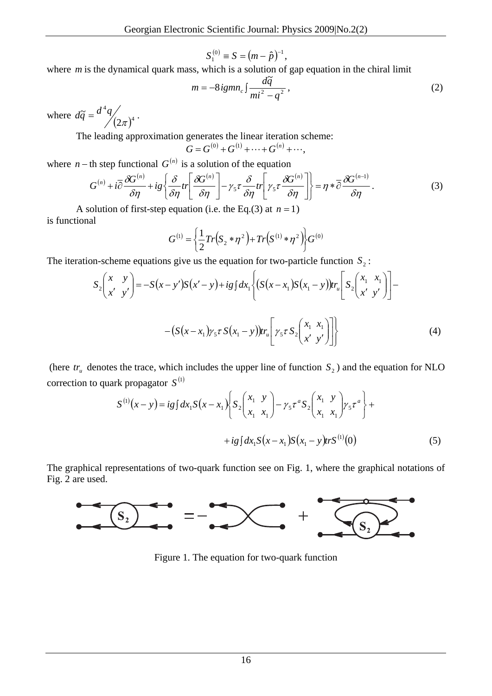$$
S_1^{(0)} \equiv S = (m - \hat{p})^{-1},
$$

where *m* is the dynamical quark mass, which is a solution of gap equation in the chiral limit

$$
m = -8i g m n_c \int \frac{d\tilde{q}}{m i^2 - q^2},
$$
 (2)

where  $d\tilde{q} = \frac{d^4q}{(2\pi)^4}$ 2  $\tilde{a}$  $d\widetilde{q} = \frac{d^4q}{(2\pi)^4}.$ 

The leading approximation generates the linear iteration scheme:

$$
G = G^{(0)} + G^{(1)} + \cdots + G^{(n)} + \cdots,
$$

where *n* − th step functional  $G^{(n)}$  is a solution of the equation

$$
G^{(n)} + i\overline{\partial} \frac{\partial G^{(n)}}{\partial \eta} + ig \left\{ \frac{\partial}{\partial \eta} tr \left[ \frac{\partial G^{(n)}}{\partial \eta} \right] - \gamma_5 \tau \frac{\partial}{\partial \eta} tr \left[ \gamma_5 \tau \frac{\partial G^{(n)}}{\partial \eta} \right] \right\} = \eta * \overline{\partial} \frac{\partial G^{(n-1)}}{\partial \eta}.
$$
 (3)

A solution of first-step equation (i.e. the Eq.(3) at  $n = 1$ ) is functional

$$
G^{(1)} = \left\{ \frac{1}{2} Tr(S_2 * \eta^2) + Tr(S^{(1)} * \eta^2) \right\} G^{(0)}
$$

The iteration-scheme equations give us the equation for two-particle function  $S_2$ :

$$
S_{2}\begin{pmatrix} x & y \ x' & y' \end{pmatrix} = -S(x - y')S(x' - y) + ig \int dx_{1} \left\{ (S(x - x_{1})S(x_{1} - y))tr_{u} \left[ S_{2}\begin{pmatrix} x_{1} & x_{1} \ x' & y' \end{pmatrix} \right] - (S(x - x_{1})\gamma_{5}\tau S(x_{1} - y))tr_{u} \left[ \gamma_{5}\tau S_{2}\begin{pmatrix} x_{1} & x_{1} \ x' & y' \end{pmatrix} \right] \right\}
$$
(4)

(here  $tr_{\mu}$  denotes the trace, which includes the upper line of function  $S_2$ ) and the equation for NLO correction to quark propagator  $S^{(1)}$ 

$$
S^{(1)}(x-y) = ig \int dx_1 S(x-x_1) \left\{ S_2 \begin{pmatrix} x_1 & y \\ x_1 & x_1 \end{pmatrix} - \gamma_5 \tau^a S_2 \begin{pmatrix} x_1 & y \\ x_1 & x_1 \end{pmatrix} \gamma_5 \tau^a \right\} +
$$
  
+ 
$$
ig \int dx_1 S(x-x_1) S(x_1-y) tr S^{(1)}(0)
$$
 (5)

The graphical representations of two-quark function see on Fig. 1, where the graphical notations of Fig. 2 are used.



Figure 1. The equation for two-quark function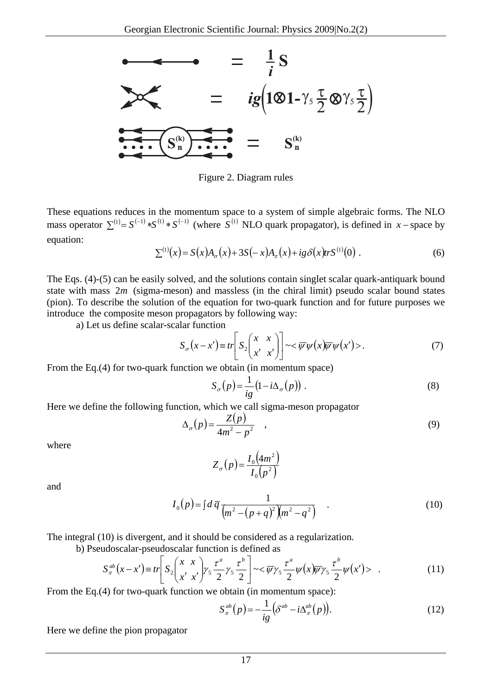

Figure 2. Diagram rules

These equations reduces in the momentum space to a system of simple algebraic forms. The NLO mass operator  $\sum^{(1)} = S^{(-1)} * S^{(1)} * S^{(-1)}$  (where  $S^{(1)}$  NLO quark propagator), is defined in *x* − space by equation:

$$
\Sigma^{(1)}(x) = S(x)A_{\sigma}(x) + 3S(-x)A_{\pi}(x) + ig \delta(x) tr S^{(1)}(0) .
$$
 (6)

The Eqs. (4)-(5) can be easily solved, and the solutions contain singlet scalar quark-antiquark bound state with mass  $2m$  (sigma-meson) and massless (in the chiral limit) pseudo scalar bound states (pion). To describe the solution of the equation for two-quark function and for future purposes we introduce the composite meson propagators by following way:

a) Let us define scalar-scalar function

$$
S_{\sigma}(x-x') \equiv tr \left[ S_2 \begin{pmatrix} x & x \\ x' & x' \end{pmatrix} \right] \sim \langle \overline{\psi}\psi(x) \overline{\psi}\psi(x') \rangle. \tag{7}
$$

From the Eq.(4) for two-quark function we obtain (in momentum space)

$$
S_{\sigma}(p) = \frac{1}{ig} (1 - i\Delta_{\sigma}(p)).
$$
 (8)

Here we define the following function, which we call sigma-meson propagator

$$
\Delta_{\sigma}(p) = \frac{Z(p)}{4m^2 - p^2} \quad , \tag{9}
$$

where

$$
Z_{\sigma}(p) = \frac{I_0(4m^2)}{I_0(p^2)}
$$

and

$$
I_0(p) = \int d\,\overline{q} \, \frac{1}{\left(m^2 - (p+q)^2\right)\left(m^2 - q^2\right)} \tag{10}
$$

The integral (10) is divergent, and it should be considered as a regularization.

b) Pseudoscalar-pseudoscalar function is defined as

$$
S_{\pi}^{ab}(x-x') \equiv tr \left[ S_2 \left( \frac{x}{x'} \frac{x}{x'} \right) y_5 \frac{\tau^a}{2} y_5 \frac{\tau^b}{2} \right] \sim \langle \overline{\psi} \gamma_5 \frac{\tau^a}{2} \psi(x) \overline{\psi} \gamma_5 \frac{\tau^b}{2} \psi(x') \rangle \quad . \tag{11}
$$

From the Eq.(4) for two-quark function we obtain (in momentum space):

$$
S_{\pi}^{ab}(p) = -\frac{1}{ig} \left( \delta^{ab} - i \Delta_{\pi}^{ab}(p) \right). \tag{12}
$$

Here we define the pion propagator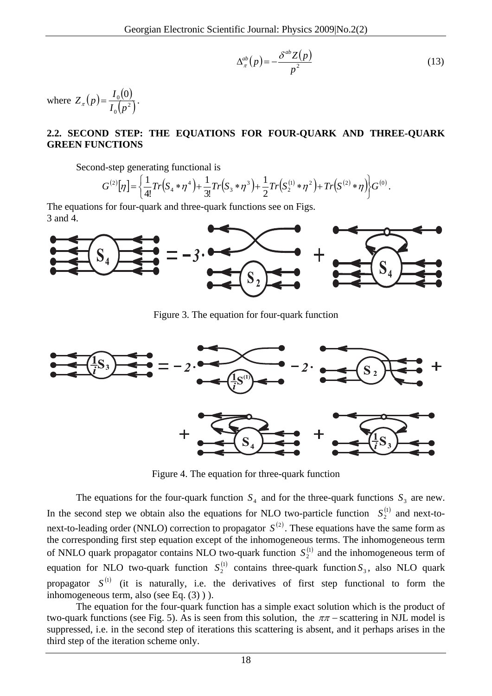$$
\Delta_{\pi}^{ab}(p) = -\frac{\delta^{ab}Z(p)}{p^2} \tag{13}
$$

where  $Z_{\pi}( p ) = \frac{I_0( 0 )}{I_0( 0 )}$  $_0(p^2)$  $0)_0$  $I_0$  $(p$  $Z_{\pi}(p) = \frac{I_0(0)}{I_0(2)}$ .

## **2.2. SECOND STEP: THE EQUATIONS FOR FOUR-QUARK AND THREE-QUARK GREEN FUNCTIONS**

Second-step generating functional is

$$
G^{(2)}[\eta] = \left\{ \frac{1}{4!} Tr(S_4 * \eta^4) + \frac{1}{3!} Tr(S_3 * \eta^3) + \frac{1}{2} Tr(S_2^{(1)} * \eta^2) + Tr(S^{(2)} * \eta) \right\} G^{(0)}.
$$

The equations for four-quark and three-quark functions see on Figs. 3 and 4.



Figure 3. The equation for four-quark function



Figure 4. The equation for three-quark function

The equations for the four-quark function  $S_4$  and for the three-quark functions  $S_3$  are new. In the second step we obtain also the equations for NLO two-particle function  $S_2^{(1)}$  and next-tonext-to-leading order (NNLO) correction to propagator  $S^{(2)}$ . These equations have the same form as the corresponding first step equation except of the inhomogeneous terms. The inhomogeneous term of NNLO quark propagator contains NLO two-quark function  $S_2^{(1)}$  and the inhomogeneous term of equation for NLO two-quark function  $S_2^{(1)}$  contains three-quark function  $S_3$ , also NLO quark propagator  $S^{(1)}$  (it is naturally, i.e. the derivatives of first step functional to form the inhomogeneous term, also (see Eq. (3) ) ).

The equation for the four-quark function has a simple exact solution which is the product of two-quark functions (see Fig. 5). As is seen from this solution, the  $\pi\pi$  – scattering in NJL model is suppressed, i.e. in the second step of iterations this scattering is absent, and it perhaps arises in the third step of the iteration scheme only.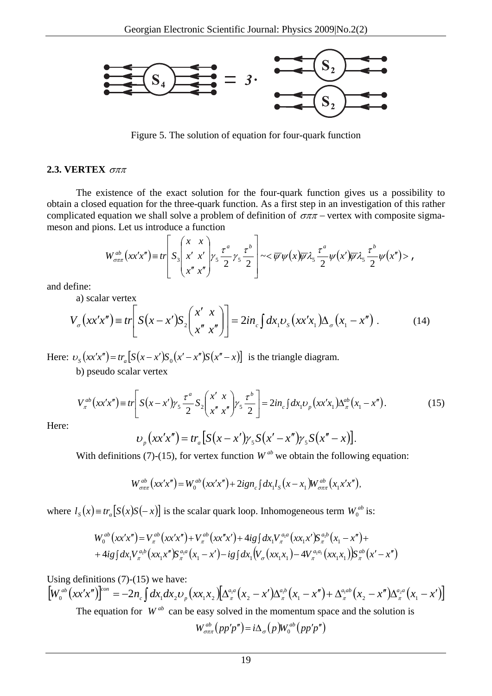

Figure 5. The solution of equation for four-quark function

## **2.3. VERTEX** σππ

The existence of the exact solution for the four-quark function gives us a possibility to obtain a closed equation for the three-quark function. As a first step in an investigation of this rather complicated equation we shall solve a problem of definition of  $\sigma \pi \pi$  – vertex with composite sigmameson and pions. Let us introduce a function

$$
W_{\sigma\pi\pi}^{ab}(xx'x'') \equiv tr \left[ S_3 \left( \begin{array}{cc} x & x \\ x' & x' \\ x'' & x'' \end{array} \right) \gamma_5 \frac{\tau^a}{2} \gamma_5 \frac{\tau^b}{2} \right] \sim \langle \overline{\psi} \psi(x) \overline{\psi} \lambda_5 \frac{\tau^a}{2} \psi(x') \overline{\psi} \lambda_5 \frac{\tau^b}{2} \psi(x'') \rangle ,
$$

and define:

a) scalar vertex

$$
V_{\sigma}\left(xx'x''\right) \equiv tr\left[S\left(x-x'\right)S_2\left(\frac{x'x}{x''x''}\right)\right] = 2in_{c}\int dx_{1}v_{S}\left(xx'x_{1}\right)\Delta_{\sigma}\left(x_{1}-x''\right). \tag{14}
$$

Here:  $v_s (xx'x'') = tr_a [S(x-x')S_0(x'-x'')S(x''-x)]$  is the triangle diagram.

b) pseudo scalar vertex

$$
V_{\pi}^{ab}(xx'x'') \equiv tr \left[ S(x - x')\gamma_5 \frac{\tau^a}{2} S_2 \left( \frac{x' x}{x'' x''} \right) \gamma_5 \frac{\tau^b}{2} \right] = 2in_c \int dx_1 \nu_p (xx'x_1) \Delta_{\pi}^{ab}(x_1 - x''). \tag{15}
$$

Here:

$$
v_p(xx'x'') = tr_a[S(x - x')\gamma_5 S(x' - x'')\gamma_5 S(x'' - x)].
$$

With definitions (7)-(15), for vertex function  $W^{ab}$  we obtain the following equation:

$$
W_{\sigma\pi\pi}^{ab}(xx'x'') = W_0^{ab}(xx'x'') + 2ign_c\int dx_1l_S(x-x_1)W_{\sigma\pi\pi}^{ab}(x_1x'x''),
$$

where  $l_s(x) = tr_a[S(x)S(-x)]$  is the scalar quark loop. Inhomogeneous term  $W_0^{ab}$  is:

$$
W_0^{ab}(xx'x'') = V_{\pi}^{ab}(xx'x'') + V_{\pi}^{ab}(xx''x') + 4ig\int dx_1 V_{\pi}^{a_1 a}(xx_1x')S_{\pi}^{a_1 b}(x_1 - x'') ++ 4ig\int dx_1 V_{\pi}^{a_1 b}(xx_1x'')S_{\pi}^{a_1 a}(x_1 - x') - ig\int dx_1 (V_{\sigma}(xx_1x_1) - 4V_{\pi}^{a_1 a_1}(xx_1x_1))S_{\pi}^{ab}(x' - x'')
$$

Using definitions  $(7)-(15)$  we have:

 $\left[ W_{0}^{ab}\big( xx'x''\big)\right] ^{con}=-2n_{c}\int dx_{1}dx_{2}\upsilon_{p}\big( xx_{1}x_{2}\big)\!\!\left[ \Delta^{a_{1}a}_{\pi}\big(x_{2}-x'\big)\!\Delta^{a_{1}b}_{\pi}\big(x_{1}-x''\big) +\Delta^{a_{1}ab}_{\pi}\big(x_{2}-x''\big)\!\Delta^{a_{2}a}_{\pi}\big(x_{1}-x'\big)\!\right]$ The equation for  $W^{ab}$  can be easy solved in the momentum space and the solution is

$$
W_{\sigma\pi\pi}^{ab}(pp'p'') = i\Delta_{\sigma}(p)W_0^{ab}(pp'p'')
$$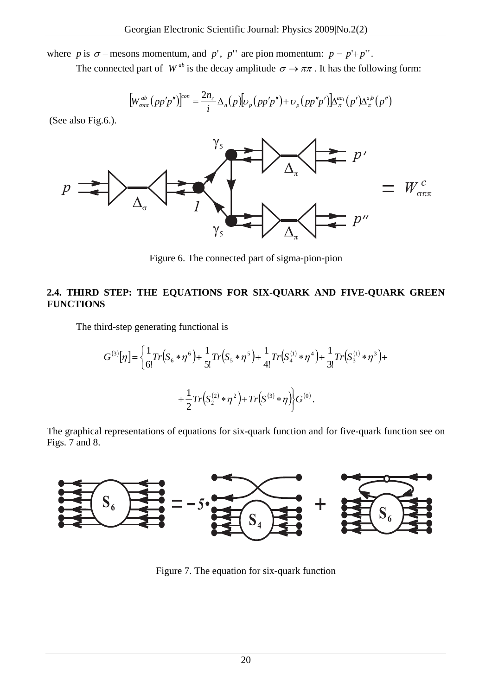where *p* is  $\sigma$  − mesons momentum, and *p'*, *p''* are pion momentum:  $p = p' + p'$ .

The connected part of  $W^{ab}$  is the decay amplitude  $\sigma \rightarrow \pi \pi$ . It has the following form:

$$
\left[W_{\sigma\pi\pi}^{ab}(pp'p'')\right]^{\text{con}} = \frac{2n_c}{i}\Delta_n(p)\left[\nu_p(pp'p'') + \nu_p(pp''p')\right]\Delta_\pi^{aa_1}(p')\Delta_\pi^{a_ib}(p'')
$$

(See also Fig.6.).



Figure 6. The connected part of sigma-pion-pion

## **2.4. THIRD STEP: THE EQUATIONS FOR SIX-QUARK AND FIVE-QUARK GREEN FUNCTIONS**

The third-step generating functional is

$$
G^{(3)}[\eta] = \left\{ \frac{1}{6!} Tr(S_6 * \eta^6) + \frac{1}{5!} Tr(S_5 * \eta^5) + \frac{1}{4!} Tr(S_4^{(1)} * \eta^4) + \frac{1}{3!} Tr(S_3^{(1)} * \eta^3) + \right. \\ + \left. \frac{1}{2} Tr(S_2^{(2)} * \eta^2) + Tr(S^{(3)} * \eta) \right\} G^{(0)}.
$$

The graphical representations of equations for six-quark function and for five-quark function see on Figs. 7 and 8.



Figure 7. The equation for six-quark function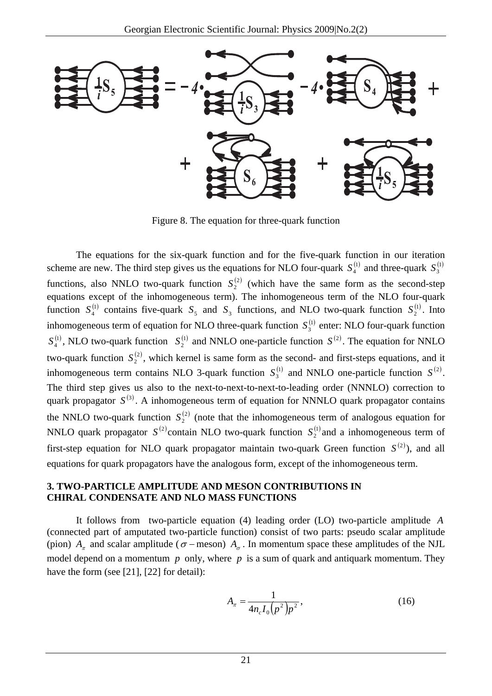

Figure 8. The equation for three-quark function

The equations for the six-quark function and for the five-quark function in our iteration scheme are new. The third step gives us the equations for NLO four-quark  $S_4^{(1)}$  and three-quark  $S_3^{(1)}$ functions, also NNLO two-quark function  $S_2<sup>(2)</sup>$  (which have the same form as the second-step function  $S_4^{(1)}$  contains five-quark  $S_5$  and  $S_3$  functions, and NLO two-quark function  $S_2^{(1)}$ . Into equations except of the inhomogeneous term). The inhomogeneous term of the NLO four-quark inhomogeneous term of equation for NLO three-quark function  $S_3^{(1)}$  enter: NLO four-quark function  $S_4^{(1)}$ , NLO two-quark function  $S_2^{(1)}$  and NNLO one-particle function  $S^{(2)}$ . The equation for NNLO two-quark function  $S_2^{(2)}$ , which kernel is same form as the second- and first-steps equations, and it inhomogeneous term contains NLO 3-quark function  $S_3^{(1)}$  and NNLO one-particle function  $S^{(2)}$ . The third step gives us also to the next-to-next-to-next-to-leading order (NNNLO) correction to quark propagator  $S^{(3)}$ . A inhomogeneous term of equation for NNNLO quark propagator contains the NNLO two-quark function  $S_2^{(2)}$  (note that the inhomogeneous term of analogous equation for NNLO quark propagator  $S^{(2)}$  contain NLO two-quark function  $S_2^{(1)}$  and a inhomogeneous term of first-step equation for NLO quark propagator maintain two-quark Green function  $S^{(2)}$ ), and all equations for quark propagators have the analogous form, except of the inhomogeneous term.

### **3. TWO-PARTICLE AMPLITUDE AND MESON CONTRIBUTIONS IN CHIRAL CONDENSATE AND NLO MASS FUNCTIONS**

It follows from two-particle equation (4) leading order (LO) two-particle amplitude *A* (connected part of amputated two-particle function) consist of two parts: pseudo scalar amplitude (pion)  $A_{\pi}$  and scalar amplitude ( $\sigma$  – meson)  $A_{\sigma}$ . In momentum space these amplitudes of the NJL model depend on a momentum  $p$  only, where  $p$  is a sum of quark and antiquark momentum. They have the form (see [21], [22] for detail):

$$
A_{\pi} = \frac{1}{4n_c I_0 (p^2) p^2},\tag{16}
$$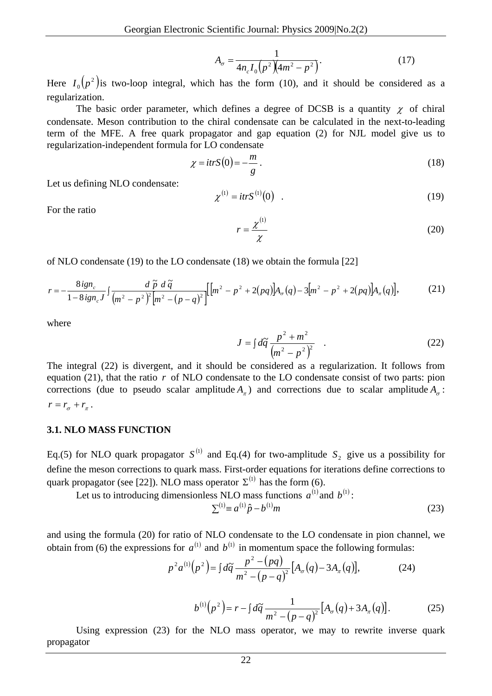$$
A_{\sigma} = \frac{1}{4n_c I_0 (p^2)(4m^2 - p^2)}.
$$
 (17)

Here  $I_0(p^2)$  is two-loop integral, which has the form (10), and it should be considered as a regularization.

The basic order parameter, which defines a degree of DCSB is a quantity  $\chi$  of chiral condensate. Meson contribution to the chiral condensate can be calculated in the next-to-leading term of the MFE. A free quark propagator and gap equation (2) for NJL model give us to regularization-independent formula for LO condensate

$$
\chi = \frac{itr}{(0)} = -\frac{m}{g} \,. \tag{18}
$$

Let us defining NLO condensate:

$$
\chi^{(1)} = \frac{itrS^{(1)}(0)}{}
$$
 (19)

For the ratio

$$
r = \frac{\chi^{(1)}}{\chi} \tag{20}
$$

of NLO condensate (19) to the LO condensate (18) we obtain the formula [22]

$$
r = -\frac{8ig_n}{1 - 8ig_n J} \int \frac{d\tilde{p} \ d\tilde{q}}{(m^2 - p^2)^2 [m^2 - (p - q)^2]} \Big[ [m^2 - p^2 + 2(pq)] A_\sigma(q) - 3[m^2 - p^2 + 2(pq)] A_\pi(q) \Big],\tag{21}
$$

where

$$
J = \int d\tilde{q} \, \frac{p^2 + m^2}{\left(m^2 - p^2\right)^2} \quad . \tag{22}
$$

The integral (22) is divergent, and it should be considered as a regularization. It follows from equation (21), that the ratio *r* of NLO condensate to the LO condensate consist of two parts: pion corrections (due to pseudo scalar amplitude  $A_{\tau}$ ) and corrections due to scalar amplitude  $A_{\sigma}$ :  $r = r_{\sigma} + r_{\pi}$ .

### **3.1. NLO MASS FUNCTION**

Eq.(5) for NLO quark propagator  $S^{(1)}$  and Eq.(4) for two-amplitude  $S_2$  give us a possibility for define the meson corrections to quark mass. First-order equations for iterations define corrections to quark propagator (see [22]). NLO mass operator  $\Sigma^{(1)}$  has the form (6).

Let us to introducing dimensionless NLO mass functions  $a^{(1)}$  and  $b^{(1)}$ :

$$
\sum^{(1)} \equiv a^{(1)} \hat{p} - b^{(1)} m \tag{23}
$$

and using the formula (20) for ratio of NLO condensate to the LO condensate in pion channel, we obtain from (6) the expressions for  $a^{(1)}$  and  $b^{(1)}$  in momentum space the following formulas:

$$
p^{2} a^{(1)}(p^{2}) = \int d\tilde{q} \frac{p^{2} - (pq)}{m^{2} - (p - q)^{2}} [A_{\sigma}(q) - 3A_{\pi}(q)],
$$
 (24)

$$
b^{(1)}(p^2) = r - \int d\tilde{q} \frac{1}{m^2 - (p - q)^2} [A_{\sigma}(q) + 3A_{\pi}(q)].
$$
 (25)

Using expression (23) for the NLO mass operator, we may to rewrite inverse quark propagator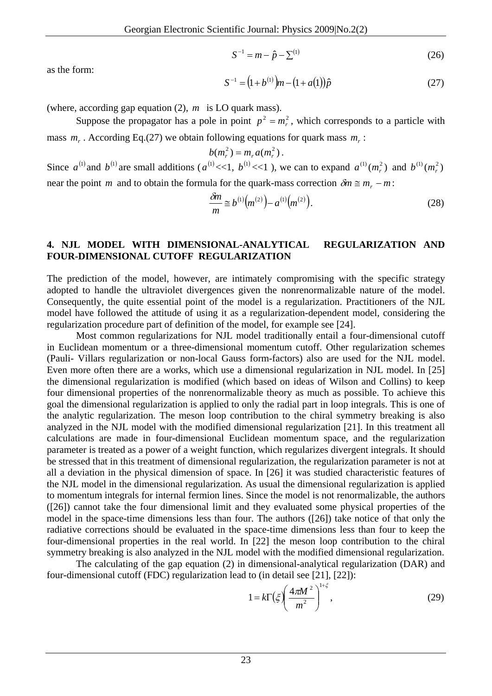$$
S^{-1} = m - \hat{p} - \Sigma^{(1)}
$$
 (26)

as the form:

$$
S^{-1} = (1 + b^{(1)})m - (1 + a(1))\hat{p}
$$
 (27)

(where, according gap equation (2), *m* is LO quark mass).

Suppose the propagator has a pole in point  $p^2 = m_r^2$ , which corresponds to a particle with mass  $m_r$ . According Eq.(27) we obtain following equations for quark mass  $m_r$ :

$$
b(m_r^2)=m_r a(m_r^2).
$$

Since  $a^{(1)}$  and  $b^{(1)}$  are small additions ( $a^{(1)} \ll 1$ ,  $b^{(1)} \ll 1$ ), we can to expand  $a^{(1)} (m_r^2)$  and  $b^{(1)} (m_r^2)$ near the point *m* and to obtain the formula for the quark-mass correction  $\delta m \approx m_r - m$ :

$$
\frac{\delta m}{m} \approx b^{(1)}(m^{(2)}) - a^{(1)}(m^{(2)}). \tag{28}
$$

### **4. NJL MODEL WITH DIMENSIONAL-ANALYTICAL REGULARIZATION AND FOUR-DIMENSIONAL CUTOFF REGULARIZATION**

The prediction of the model, however, are intimately compromising with the specific strategy adopted to handle the ultraviolet divergences given the nonrenormalizable nature of the model. Consequently, the quite essential point of the model is a regularization. Practitioners of the NJL model have followed the attitude of using it as a regularization-dependent model, considering the regularization procedure part of definition of the model, for example see [24].

Most common regularizations for NJL model traditionally entail a four-dimensional cutoff in Euclidean momentum or a three-dimensional momentum cutoff. Other regularization schemes (Pauli- Villars regularization or non-local Gauss form-factors) also are used for the NJL model. Even more often there are a works, which use a dimensional regularization in NJL model. In [25] the dimensional regularization is modified (which based on ideas of Wilson and Collins) to keep four dimensional properties of the nonrenormalizable theory as much as possible. To achieve this goal the dimensional regularization is applied to only the radial part in loop integrals. This is one of the analytic regularization. The meson loop contribution to the chiral symmetry breaking is also analyzed in the NJL model with the modified dimensional regularization [21]. In this treatment all calculations are made in four-dimensional Euclidean momentum space, and the regularization parameter is treated as a power of a weight function, which regularizes divergent integrals. It should be stressed that in this treatment of dimensional regularization, the regularization parameter is not at all a deviation in the physical dimension of space. In [26] it was studied characteristic features of the NJL model in the dimensional regularization. As usual the dimensional regularization is applied to momentum integrals for internal fermion lines. Since the model is not renormalizable, the authors ([26]) cannot take the four dimensional limit and they evaluated some physical properties of the model in the space-time dimensions less than four. The authors ([26]) take notice of that only the radiative corrections should be evaluated in the space-time dimensions less than four to keep the four-dimensional properties in the real world. In [22] the meson loop contribution to the chiral symmetry breaking is also analyzed in the NJL model with the modified dimensional regularization.

The calculating of the gap equation (2) in dimensional-analytical regularization (DAR) and four-dimensional cutoff (FDC) regularization lead to (in detail see [21], [22]):

$$
1 = k \Gamma \left(\xi \right) \left(\frac{4\pi M^2}{m^2}\right)^{1+\xi},\tag{29}
$$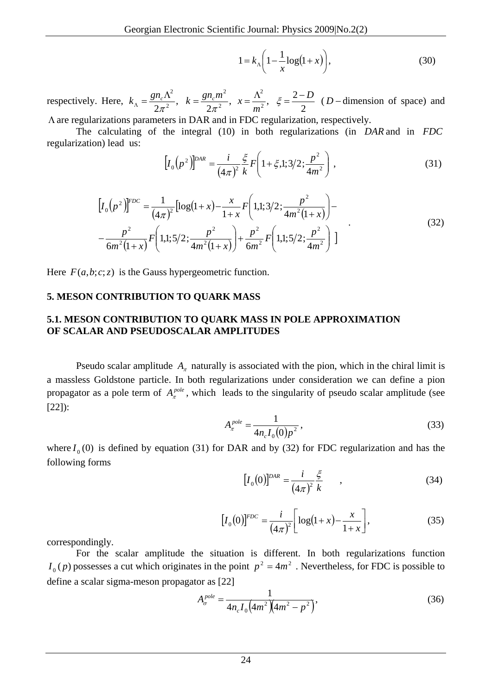$(1 - k_0) 1 - \log(1 + x)$ ⎠  $\left(1-\frac{1}{\log(1+x)}\right)$ ⎝  $= k_{\Lambda} \left( 1 - \frac{1}{x} \log(1 + x) \right)$  $1 = k_{\lambda} \left( 1 - \frac{1}{\log(1 + x)} \right),$  (30)

respectively. Here,  $k_{\Lambda} = \frac{gn_c \Lambda^2}{2\pi^2}$ ,  $k = \frac{gn_c m^2}{2\pi^2}$ ,  $x = \frac{\Lambda^2}{m^2}$ ,  $\xi = \frac{2 - \Lambda^2}{2}$ 2 2 2 <sup>2</sup> *gn<sub>c</sub>m*<sup>2</sup>  $\Lambda^2$  *z* - *D m*  $k_A = \frac{gn_c \Lambda^2}{2\pi^2}$ ,  $k = \frac{gn_c m^2}{2\pi^2}$ ,  $x = \frac{\Lambda^2}{m^2}$ ,  $\xi = \frac{2-D}{2}$  (*D* − dimension of space) and

Λare regularizations parameters in DAR and in FDC regularization, respectively.

The calculating of the integral (10) in both regularizations (in *DAR* and in *FDC* regularization) lead us:

$$
\[I_0(p^2)\]^{DAR} = \frac{i}{(4\pi)^2} \frac{\xi}{k} F\left(1 + \xi, 1; 3/2; \frac{p^2}{4m^2}\right),\tag{31}
$$

$$
\left[I_0(p^2)\right]^{FDC} = \frac{1}{(4\pi)^2} \left[ \log(1+x) - \frac{x}{1+x} F\left(1,1;3/2; \frac{p^2}{4m^2(1+x)}\right) - \frac{p^2}{6m^2(1+x)} F\left(1,1;5/2; \frac{p^2}{4m^2(1+x)}\right) + \frac{p^2}{6m^2} F\left(1,1;5/2; \frac{p^2}{4m^2}\right) \right]
$$
\n(32)

Here  $F(a, b; c; z)$  is the Gauss hypergeometric function.

### **5. MESON CONTRIBUTION TO QUARK MASS**

### **5.1. MESON CONTRIBUTION TO QUARK MASS IN POLE APPROXIMATION OF SCALAR AND PSEUDOSCALAR AMPLITUDES**

Pseudo scalar amplitude  $A_{\pi}$  naturally is associated with the pion, which in the chiral limit is a massless Goldstone particle. In both regularizations under consideration we can define a pion propagator as a pole term of  $A_{\pi}^{pole}$ , which leads to the singularity of pseudo scalar amplitude (see [22]):

$$
A_{\pi}^{pole} = \frac{1}{4n_c I_0(0) p^2},\tag{33}
$$

where  $I_0(0)$  is defined by equation (31) for DAR and by (32) for FDC regularization and has the following forms

$$
[I_0(0)]^{DAR} = \frac{i}{(4\pi)^2} \frac{\xi}{k} , \qquad (34)
$$

$$
[I_0(0)]^{FDC} = \frac{i}{(4\pi)^2} \left[ \log(1+x) - \frac{x}{1+x} \right],
$$
 (35)

correspondingly.

For the scalar amplitude the situation is different. In both regularizations function  $I_0(p)$  possesses a cut which originates in the point  $p^2 = 4m^2$ . Nevertheless, for FDC is possible to define a scalar sigma-meson propagator as [22]

$$
A_{\sigma}^{pole} = \frac{1}{4n_c I_0 \left(4m^2 \left(4m^2 - p^2\right)\right)},\tag{36}
$$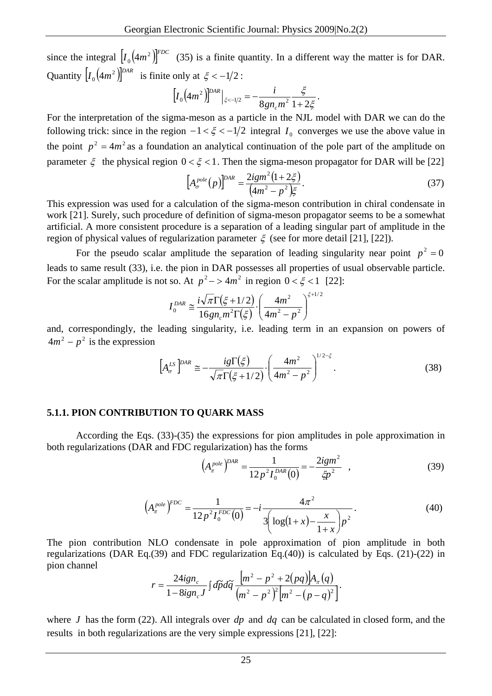since the integral  $[I_0(4m^2)]^{FDC}$  (35) is a finite quantity. In a different way the matter is for DAR. Quantity  $\left[I_0(4m^2)\right]^{DAR}$  is finite only at  $\xi < -1/2$ :

$$
\left[I_0\!\left(4m^2\right)\!\right]^{DAR}\!\big|_{\xi<-1/2} = -\frac{i}{8gn_cm^2}\frac{\xi}{1+2\xi}.
$$

For the interpretation of the sigma-meson as a particle in the NJL model with DAR we can do the following trick: since in the region  $-1 < \xi < -1/2$  integral  $I_0$  converges we use the above value in the point  $p^2 = 4m^2$  as a foundation an analytical continuation of the pole part of the amplitude on parameter  $\xi$  the physical region  $0 < \xi < 1$ . Then the sigma-meson propagator for DAR will be [22]

$$
\left[A_{\sigma}^{pole}(p)\right]^{DAR} = \frac{2igm^2(1+2\xi)}{(4m^2 - p^2)\xi}.
$$
\n(37)

This expression was used for a calculation of the sigma-meson contribution in chiral condensate in work [21]. Surely, such procedure of definition of sigma-meson propagator seems to be a somewhat artificial. A more consistent procedure is a separation of a leading singular part of amplitude in the region of physical values of regularization parameter  $\xi$  (see for more detail [21], [22]).

For the pseudo scalar amplitude the separation of leading singularity near point  $p^2 = 0$ leads to same result (33), i.e. the pion in DAR possesses all properties of usual observable particle. For the scalar amplitude is not so. At  $p^2$  – > 4 $m^2$  in region  $0 < \xi < 1$  [22]:

$$
I_0^{DAR} \cong \frac{i\sqrt{\pi}\Gamma(\xi+1/2)}{16gn_cm^2\Gamma(\xi)} \cdot \left(\frac{4m^2}{4m^2 - p^2}\right)^{\xi+1/2}
$$

and, correspondingly, the leading singularity, i.e. leading term in an expansion on powers of  $4m^2 - p^2$  is the expression

$$
\left[A_{\sigma}^{LS}\right]^{DAR} \cong -\frac{ig\Gamma(\xi)}{\sqrt{\pi}\Gamma(\xi+1/2)} \cdot \left(\frac{4m^2}{4m^2 - p^2}\right)^{1/2-\xi}.\tag{38}
$$

#### **5.1.1. PION CONTRIBUTION TO QUARK MASS**

According the Eqs. (33)-(35) the expressions for pion amplitudes in pole approximation in both regularizations (DAR and FDC regularization) has the forms

$$
\left(A_{\pi}^{pole}\right)^{DAR} = \frac{1}{12p^2I_0^{DAR}(0)} = -\frac{2igm^2}{\zeta p^2} , \qquad (39)
$$

$$
\left(A_{\pi}^{pole}\right)^{FDC} = \frac{1}{12p^2I_0^{FDC}(0)} = -i\frac{4\pi^2}{3\left(\log(1+x) - \frac{x}{1+x}\right)p^2}.
$$
\n(40)

The pion contribution NLO condensate in pole approximation of pion amplitude in both regularizations (DAR Eq.(39) and FDC regularization Eq.(40)) is calculated by Eqs. (21)-(22) in pion channel

$$
r = \frac{24ign_c}{1 - 8ign_cJ} \int d\tilde{p} d\tilde{q} \frac{[m^2 - p^2 + 2(pq)]A_{\pi}(q)}{(m^2 - p^2)^2 [m^2 - (p - q)^2]}.
$$

where *J* has the form (22). All integrals over  $dp$  and  $dq$  can be calculated in closed form, and the results in both regularizations are the very simple expressions [21], [22]: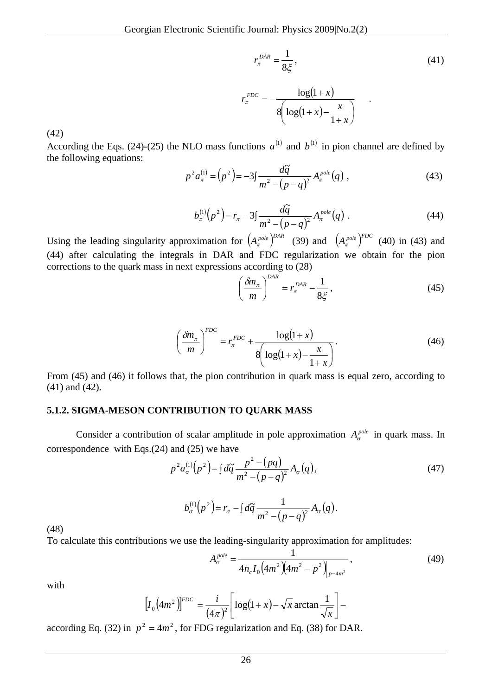$$
r_{\pi}^{DAR} = \frac{1}{8\xi},
$$
\n
$$
r_{\pi}^{FDC} = -\frac{\log(1+x)}{8\left(\log(1+x) - \frac{x}{1+x}\right)}.
$$
\n(41)

(42)

According the Eqs. (24)-(25) the NLO mass functions  $a^{(1)}$  and  $b^{(1)}$  in pion channel are defined by the following equations:

$$
p^2 a_{\pi}^{(1)} = (p^2) = -3 \int \frac{d\tilde{q}}{m^2 - (p - q)^2} A_{\pi}^{pole}(q) , \qquad (43)
$$

$$
b_{\pi}^{(1)}(p^2) = r_{\pi} - 3\int \frac{d\tilde{q}}{m^2 - (p - q)^2} A_{\pi}^{pole}(q) . \tag{44}
$$

Using the leading singularity approximation for  $(A_{\pi}^{pole})^{DAR}$  (39) and  $(A_{\pi}^{pole})^{FDC}$  (40) in (43) and (44) after calculating the integrals in DAR and FDC regularization we obtain for the pion corrections to the quark mass in next expressions according to (28)

$$
\left(\frac{\delta m_{\pi}}{m}\right)^{DAR} = r_{\pi}^{DAR} - \frac{1}{8\xi},\tag{45}
$$

$$
\left(\frac{\delta m_{\pi}}{m}\right)^{FDC} = r_{\pi}^{FDC} + \frac{\log(1+x)}{8\left(\log(1+x) - \frac{x}{1+x}\right)}.
$$
\n(46)

From (45) and (46) it follows that, the pion contribution in quark mass is equal zero, according to (41) and (42).

#### **5.1.2. SIGMA-MESON CONTRIBUTION TO QUARK MASS**

Consider a contribution of scalar amplitude in pole approximation  $A_{\sigma}^{pole}$  in quark mass. In correspondence with Eqs.(24) and (25) we have

$$
p^{2} a_{\sigma}^{(1)}(p^{2}) = \int d\tilde{q} \, \frac{p^{2} - (pq)}{m^{2} - (p - q)^{2}} A_{\sigma}(q), \tag{47}
$$

$$
b_{\sigma}^{(1)}(p^2) = r_{\sigma} - \int d\widetilde{q} \, \frac{1}{m^2 - (p-q)^2} A_{\sigma}(q).
$$

(48)

To calculate this contributions we use the leading-singularity approximation for amplitudes:

$$
A_{\sigma}^{pole} = \frac{1}{4n_c I_0 \left(4m^2 \left(4m^2 - p^2\right)\right)_{p-4m^2}},\tag{49}
$$

with

$$
\left[I_0\left(4m^2\right)\right]^{FDC} = \frac{i}{\left(4\pi\right)^2} \left[\log\left(1+x\right) - \sqrt{x} \arctan\frac{1}{\sqrt{x}}\right] -
$$

according Eq. (32) in  $p^2 = 4m^2$ , for FDG regularization and Eq. (38) for DAR.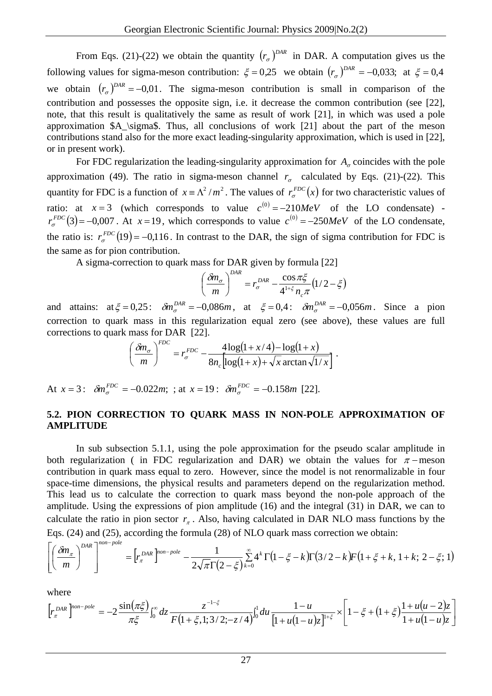From Eqs. (21)-(22) we obtain the quantity  $(r_{\sigma})^{DAR}$  in DAR. A computation gives us the following values for sigma-meson contribution:  $\xi = 0.25$  we obtain  $(r_{\sigma})^{DAR} = -0.033$ ; at  $\xi = 0.4$ we obtain  $(r_{\sigma})^{DAR} = -0.01$ . The sigma-meson contribution is small in comparison of the contribution and possesses the opposite sign, i.e. it decrease the common contribution (see [22], note, that this result is qualitatively the same as result of work [21], in which was used a pole approximation \$A\_\sigma\$. Thus, all conclusions of work [21] about the part of the meson contributions stand also for the more exact leading-singularity approximation, which is used in [22], or in present work).

For FDC regularization the leading-singularity approximation for  $A_{\sigma}$  coincides with the pole approximation (49). The ratio in sigma-meson channel  $r_{\sigma}$  calculated by Eqs. (21)-(22). This quantity for FDC is a function of  $x = \Lambda^2 / m^2$ . The values of  $r_{\sigma}^{FDC}(x)$  for two characteristic values of ratio: at  $x = 3$  (which corresponds to value  $c^{(0)} = -210 MeV$  of the LO condensate)  $r_{\sigma}^{FDC}(3) = -0.007$ . At  $x = 19$ , which corresponds to value  $c^{(0)} = -250MeV$  of the LO condensate, the ratio is:  $r_{\sigma}^{FDC}(19) = -0.116$ . In contrast to the DAR, the sign of sigma contribution for FDC is the same as for pion contribution.

A sigma-correction to quark mass for DAR given by formula [22]

$$
\left(\frac{\delta m_{\sigma}}{m}\right)^{DAR} = r_{\sigma}^{DAR} - \frac{\cos \pi \xi}{4^{1+\xi} n_{c} \pi} \left(1/2 - \xi\right)
$$

and attains:  $at \xi = 0.25$ :  $\delta m_{\sigma}^{DAR} = -0.086m$ , at  $\xi = 0.4$ :  $\delta m_{\sigma}^{DAR} = -0.056m$ . Since a pion correction to quark mass in this regularization equal zero (see above), these values are full corrections to quark mass for DAR [22].

$$
\left(\frac{\delta m_{\sigma}}{m}\right)^{FDC} = r_{\sigma}^{FDC} - \frac{4\log(1+x/4) - \log(1+x)}{8n_c\left[\log(1+x) + \sqrt{x}\arctan\sqrt{1/x}\right]}.
$$

At  $x = 3$ :  $\delta m_{\sigma}^{FDC} = -0.022m$ ; ; at  $x = 19$ :  $\delta m_{\sigma}^{FDC} = -0.158m$  [22].

### **5.2. PION CORRECTION TO QUARK MASS IN NON-POLE APPROXIMATION OF AMPLITUDE**

In sub subsection 5.1.1, using the pole approximation for the pseudo scalar amplitude in both regularization ( in FDC regularization and DAR) we obtain the values for  $\pi$  –meson contribution in quark mass equal to zero. However, since the model is not renormalizable in four space-time dimensions, the physical results and parameters depend on the regularization method. This lead us to calculate the correction to quark mass beyond the non-pole approach of the amplitude. Using the expressions of pion amplitude (16) and the integral (31) in DAR, we can to calculate the ratio in pion sector  $r_{\pi}$ . Also, having calculated in DAR NLO mass functions by the Eqs. (24) and (25), according the formula (28) of NLO quark mass correction we obtain:

$$
\left[\left(\frac{\delta m_{\pi}}{m}\right)^{DAR}\right]^{non-pole} = \left[r_{\pi}^{DAR}\right]^{non-pole} - \frac{1}{2\sqrt{\pi}\Gamma(2-\xi)}\sum_{k=0}^{\infty} 4^k \Gamma(1-\xi-k)\Gamma(3/2-k)F\left(1+\xi+k,1+k;2-\xi;1\right)
$$

where

$$
\left[r_{\pi}^{DAR}\right]^{non-pole} = -2 \frac{\sin(\pi \xi)}{\pi \xi} \int_0^{\infty} dz \frac{z^{-1-\xi}}{F(1+\xi,1;3/2;-z/4)} \int_0^1 du \frac{1-u}{[1+u(1-u)z]^{1+\xi}} \times \left[1-\xi+(1+\xi)\frac{1+u(u-2)z}{1+u(1-u)z}\right]
$$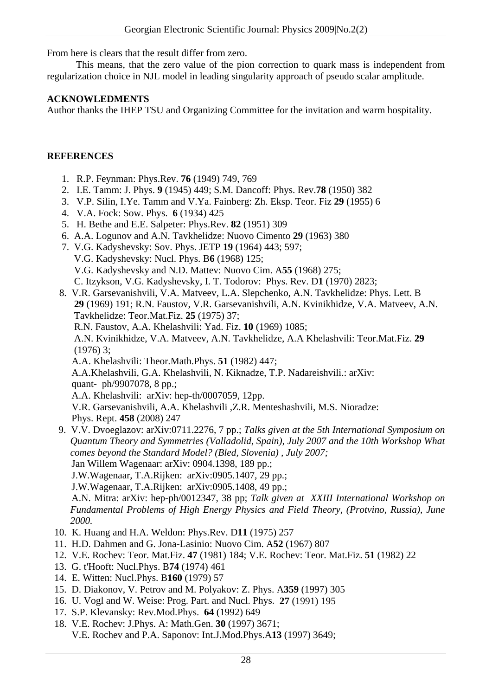From here is clears that the result differ from zero.

This means, that the zero value of the pion correction to quark mass is independent from regularization choice in NJL model in leading singularity approach of pseudo scalar amplitude.

## **ACKNOWLEDMENTS**

Author thanks the IHEP TSU and Organizing Committee for the invitation and warm hospitality.

## **REFERENCES**

- 1. R.P. Feynman: Phys.Rev. **76** (1949) 749, 769
- 2. I.E. Tamm: J. Phys. **9** (1945) 449; S.M. Dancoff: Phys. Rev.**78** (1950) 382
- 3. V.P. Silin, I.Ye. Tamm and V.Ya. Fainberg: Zh. Eksp. Teor. Fiz **29** (1955) 6
- 4. V.A. Fock: Sow. Phys. **6** (1934) 425
- 5. H. Bethe and E.E. Salpeter: Phys.Rev. **82** (1951) 309
- 6. A.A. Logunov and A.N. Tavkhelidze: Nuovo Cimento **29** (1963) 380
- 7. V.G. Kadyshevsky: Sov. Phys. JETP **19** (1964) 443; 597; V.G. Kadyshevsky: Nucl. Phys. B**6** (1968) 125; V.G. Kadyshevsky and N.D. Mattev: Nuovo Cim. A**55** (1968) 275; C. Itzykson, V.G. Kadyshevsky, I. T. Todorov: Phys. Rev. D**1** (1970) 2823;
- 8. V.R. Garsevanishvili, V.A. Matveev, L.A. Slepchenko, A.N. Tavkhelidze: Phys. Lett. B  **29** (1969) 191; R.N. Faustov, V.R. Garsevanishvili, A.N. Kvinikhidze, V.A. Matveev, A.N. Tavkhelidze: Teor.Mat.Fiz. **25** (1975) 37; R.N. Faustov, A.A. Khelashvili: Yad. Fiz. **10** (1969) 1085;
	- A.N. Kvinikhidze, V.A. Matveev, A.N. Tavkhelidze, A.A Khelashvili: Teor.Mat.Fiz. **29** (1976) 3;
	- A.A. Khelashvili: Theor.Math.Phys. **51** (1982) 447;

 A.A.Khelashvili, G.A. Khelashvili, N. Kiknadze, T.P. Nadareishvili.: arXiv: quant- ph/9907078, 8 pp.;

- A.A. Khelashvili: arXiv: hep-th/0007059, 12pp.
- V.R. Garsevanishvili, A.A. Khelashvili ,Z.R. Menteshashvili, M.S. Nioradze: Phys. Rept. **458** (2008) 247
- 9. V.V. Dvoeglazov: arXiv:0711.2276, 7 pp.; *Talks given at the 5th International Symposium on Quantum Theory and Symmetries (Valladolid, Spain), July 2007 and the 10th Workshop What comes beyond the Standard Model? (Bled, Slovenia) , July 2007;*  Jan Willem Wagenaar: arXiv: 0904.1398, 189 pp.; J.W.Wagenaar, T.A.Rijken: arXiv:0905.1407, 29 pp.; J.W.Wagenaar, T.A.Rijken: arXiv:0905.1408, 49 pp.; A.N. Mitra: arXiv: hep-ph/0012347, 38 pp; *Talk given at XXIII International Workshop on Fundamental Problems of High Energy Physics and Field Theory, (Protvino, Russia), June 2000.*
- 10. K. Huang and H.A. Weldon: Phys.Rev. D**11** (1975) 257
- 11. H.D. Dahmen and G. Jona-Lasinio: Nuovo Cim. A**52** (1967) 807
- 12. V.E. Rochev: Teor. Mat.Fiz. **47** (1981) 184; V.E. Rochev: Teor. Mat.Fiz. **51** (1982) 22
- 13. G. t'Hooft: Nucl.Phys. B**74** (1974) 461
- 14. E. Witten: Nucl.Phys. B**160** (1979) 57
- 15. D. Diakonov, V. Petrov and M. Polyakov: Z. Phys. A**359** (1997) 305
- 16. U. Vogl and W. Weise: Prog. Part. and Nucl. Phys. **27** (1991) 195
- 17. S.P. Klevansky: Rev.Mod.Phys. **64** (1992) 649
- 18. V.E. Rochev: J.Phys. A: Math.Gen. **30** (1997) 3671; V.E. Rochev and P.A. Saponov: Int.J.Mod.Phys.A**13** (1997) 3649;